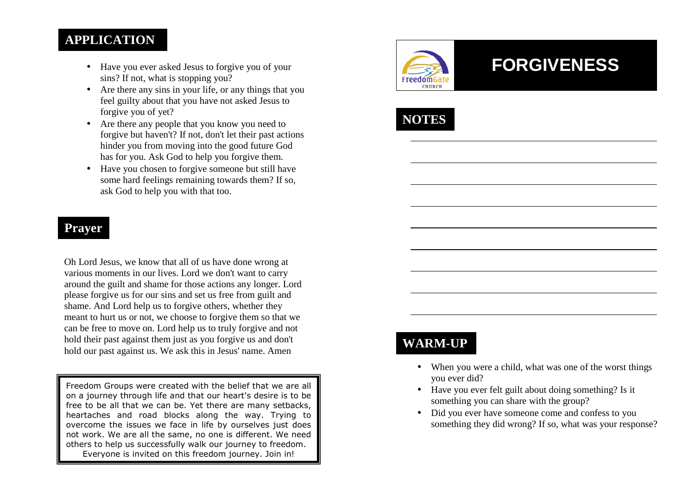### **APPLICATION**

- Have you ever asked Jesus to forgive you of your sins? If not, what is stopping you?
- Are there any sins in your life, or any things that you feel guilty about that you have not asked Jesus to forgive you of yet?
- Are there any people that you know you need to forgive but haven't? If not, don't let their past actions hinder you from moving into the good future God has for you. Ask God to help you forgive them.
- Have you chosen to forgive someone but still have some hard feelings remaining towards them? If so, ask God to help you with that too.

### **Prayer**

Oh Lord Jesus, we know that all of us have done wrong at various moments in our lives. Lord we don't want to carry around the guilt and shame for those actions any longer. Lord please forgive us for our sins and set us free from guilt and shame. And Lord help us to forgive others, whether they meant to hurt us or not, we choose to forgive them so that we can be free to move on. Lord help us to truly forgive and not hold their past against them just as you forgive us and don't hold our past against us. We ask this in Jesus' name. Amen

Freedom Groups were created with the belief that we are all on a journey through life and that our heart's desire is to be free to be all that we can be. Yet there are many setbacks, heartaches and road blocks along the way. Trying to overcome the issues we face in life by ourselves just does not work. We are all the same, no one is different. We need others to help us successfully walk our journey to freedom. Everyone is invited on this freedom journey. Join in!



# **FORGIVENESS**

**NOTES** 

# **WARM-UP**

- When you were a child, what was one of the worst things you ever did?
- Have you ever felt guilt about doing something? Is it something you can share with the group?
- Did you ever have someone come and confess to you something they did wrong? If so, what was your response?